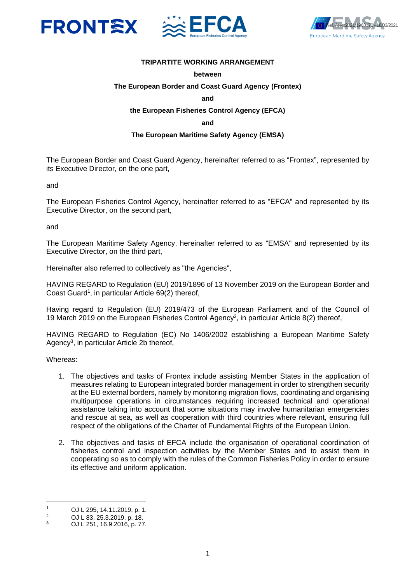





## **TRIPARTITE WORKING ARRANGEMENT**

#### **between**

#### **The European Border and Coast Guard Agency (Frontex)**

#### **and**

#### **the European Fisheries Control Agency (EFCA)**

#### **and**

#### **The European Maritime Safety Agency (EMSA)**

The European Border and Coast Guard Agency, hereinafter referred to as "Frontex", represented by its Executive Director, on the one part,

and

The European Fisheries Control Agency, hereinafter referred to as "EFCA" and represented by its Executive Director, on the second part,

and

The European Maritime Safety Agency, hereinafter referred to as "EMSA" and represented by its Executive Director, on the third part,

Hereinafter also referred to collectively as "the Agencies",

HAVING REGARD to Regulation (EU) 2019/1896 of 13 November 2019 on the European Border and Coast Guard<sup>1</sup>, in particular Article 69(2) thereof,

Having regard to Regulation (EU) 2019/473 of the European Parliament and of the Council of 19 March 2019 on the European Fisheries Control Agency<sup>2</sup>, in particular Article 8(2) thereof,

HAVING REGARD to Regulation (EC) No 1406/2002 establishing a European Maritime Safety Agency<sup>3</sup> , in particular Article 2b thereof,

Whereas:

- 1. The objectives and tasks of Frontex include assisting Member States in the application of measures relating to European integrated border management in order to strengthen security at the EU external borders, namely by monitoring migration flows, coordinating and organising multipurpose operations in circumstances requiring increased technical and operational assistance taking into account that some situations may involve humanitarian emergencies and rescue at sea, as well as cooperation with third countries where relevant, ensuring full respect of the obligations of the Charter of Fundamental Rights of the European Union.
- 2. The objectives and tasks of EFCA include the organisation of operational coordination of fisheries control and inspection activities by the Member States and to assist them in cooperating so as to comply with the rules of the Common Fisheries Policy in order to ensure its effective and uniform application.

<sup>&</sup>lt;sup>1</sup> OJ L 295, 14.11.2019, p. 1.

<sup>&</sup>lt;sup>2</sup> OJ L 83, 25.3.2019, p. 18.

**<sup>3</sup>** OJ L 251, 16.9.2016, p. 77.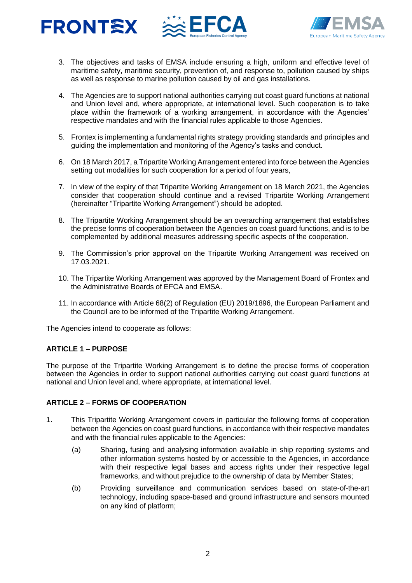





- 3. The objectives and tasks of EMSA include ensuring a high, uniform and effective level of maritime safety, maritime security, prevention of, and response to, pollution caused by ships as well as response to marine pollution caused by oil and gas installations.
- 4. The Agencies are to support national authorities carrying out coast guard functions at national and Union level and, where appropriate, at international level. Such cooperation is to take place within the framework of a working arrangement, in accordance with the Agencies' respective mandates and with the financial rules applicable to those Agencies.
- 5. Frontex is implementing a fundamental rights strategy providing standards and principles and guiding the implementation and monitoring of the Agency's tasks and conduct.
- 6. On 18 March 2017, a Tripartite Working Arrangement entered into force between the Agencies setting out modalities for such cooperation for a period of four years,
- 7. In view of the expiry of that Tripartite Working Arrangement on 18 March 2021, the Agencies consider that cooperation should continue and a revised Tripartite Working Arrangement (hereinafter "Tripartite Working Arrangement") should be adopted.
- 8. The Tripartite Working Arrangement should be an overarching arrangement that establishes the precise forms of cooperation between the Agencies on coast guard functions, and is to be complemented by additional measures addressing specific aspects of the cooperation.
- 9. The Commission's prior approval on the Tripartite Working Arrangement was received on 17.03.2021.
- 10. The Tripartite Working Arrangement was approved by the Management Board of Frontex and the Administrative Boards of EFCA and EMSA.
- 11. In accordance with Article 68(2) of Regulation (EU) 2019/1896, the European Parliament and the Council are to be informed of the Tripartite Working Arrangement.

The Agencies intend to cooperate as follows:

## **ARTICLE 1 – PURPOSE**

The purpose of the Tripartite Working Arrangement is to define the precise forms of cooperation between the Agencies in order to support national authorities carrying out coast guard functions at national and Union level and, where appropriate, at international level.

## **ARTICLE 2 – FORMS OF COOPERATION**

- 1. This Tripartite Working Arrangement covers in particular the following forms of cooperation between the Agencies on coast guard functions, in accordance with their respective mandates and with the financial rules applicable to the Agencies:
	- (a) Sharing, fusing and analysing information available in ship reporting systems and other information systems hosted by or accessible to the Agencies, in accordance with their respective legal bases and access rights under their respective legal frameworks, and without prejudice to the ownership of data by Member States;
	- (b) Providing surveillance and communication services based on state-of-the-art technology, including space-based and ground infrastructure and sensors mounted on any kind of platform;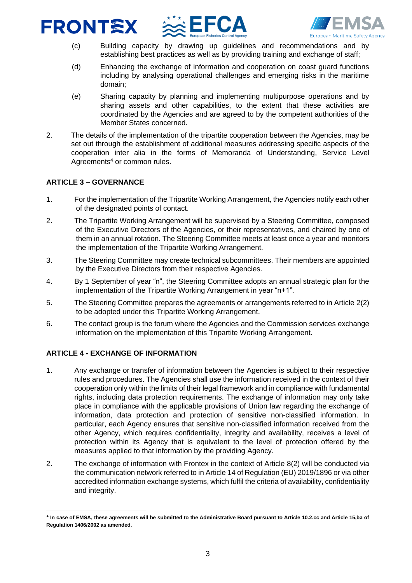# FRONTEX



- (c) Building capacity by drawing up guidelines and recommendations and by establishing best practices as well as by providing training and exchange of staff;
- (d) Enhancing the exchange of information and cooperation on coast guard functions including by analysing operational challenges and emerging risks in the maritime domain;
- (e) Sharing capacity by planning and implementing multipurpose operations and by sharing assets and other capabilities, to the extent that these activities are coordinated by the Agencies and are agreed to by the competent authorities of the Member States concerned.
- 2. The details of the implementation of the tripartite cooperation between the Agencies, may be set out through the establishment of additional measures addressing specific aspects of the cooperation inter alia in the forms of Memoranda of Understanding, Service Level Agreements<sup>4</sup> or common rules.

## **ARTICLE 3 – GOVERNANCE**

- 1. For the implementation of the Tripartite Working Arrangement, the Agencies notify each other of the designated points of contact.
- 2. The Tripartite Working Arrangement will be supervised by a Steering Committee, composed of the Executive Directors of the Agencies, or their representatives, and chaired by one of them in an annual rotation. The Steering Committee meets at least once a year and monitors the implementation of the Tripartite Working Arrangement.
- 3. The Steering Committee may create technical subcommittees. Their members are appointed by the Executive Directors from their respective Agencies.
- 4. By 1 September of year "n", the Steering Committee adopts an annual strategic plan for the implementation of the Tripartite Working Arrangement in year "n+1".
- 5. The Steering Committee prepares the agreements or arrangements referred to in Article 2(2) to be adopted under this Tripartite Working Arrangement.
- 6. The contact group is the forum where the Agencies and the Commission services exchange information on the implementation of this Tripartite Working Arrangement.

## **ARTICLE 4 - EXCHANGE OF INFORMATION**

- 1. Any exchange or transfer of information between the Agencies is subject to their respective rules and procedures. The Agencies shall use the information received in the context of their cooperation only within the limits of their legal framework and in compliance with fundamental rights, including data protection requirements. The exchange of information may only take place in compliance with the applicable provisions of Union law regarding the exchange of information, data protection and protection of sensitive non-classified information. In particular, each Agency ensures that sensitive non-classified information received from the other Agency, which requires confidentiality, integrity and availability, receives a level of protection within its Agency that is equivalent to the level of protection offered by the measures applied to that information by the providing Agency.
- 2. The exchange of information with Frontex in the context of Article 8(2) will be conducted via the communication network referred to in Article 14 of Regulation (EU) 2019/1896 or via other accredited information exchange systems, which fulfil the criteria of availability, confidentiality and integrity.

*<sup>\*</sup>* **In case of EMSA, these agreements will be submitted to the Administrative Board pursuant to Article 10.2.cc and Article 15,ba of Regulation 1406/2002 as amended.**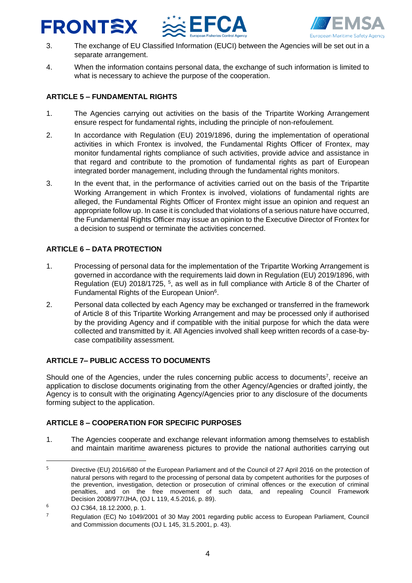## FRONTEX





- 3. The exchange of EU Classified Information (EUCI) between the Agencies will be set out in a separate arrangement.
- 4. When the information contains personal data, the exchange of such information is limited to what is necessary to achieve the purpose of the cooperation.

## **ARTICLE 5 – FUNDAMENTAL RIGHTS**

- 1. The Agencies carrying out activities on the basis of the Tripartite Working Arrangement ensure respect for fundamental rights, including the principle of non-refoulement.
- 2. In accordance with Regulation (EU) 2019/1896, during the implementation of operational activities in which Frontex is involved, the Fundamental Rights Officer of Frontex, may monitor fundamental rights compliance of such activities, provide advice and assistance in that regard and contribute to the promotion of fundamental rights as part of European integrated border management, including through the fundamental rights monitors.
- 3. In the event that, in the performance of activities carried out on the basis of the Tripartite Working Arrangement in which Frontex is involved, violations of fundamental rights are alleged, the Fundamental Rights Officer of Frontex might issue an opinion and request an appropriate follow up. In case it is concluded that violations of a serious nature have occurred, the Fundamental Rights Officer may issue an opinion to the Executive Director of Frontex for a decision to suspend or terminate the activities concerned.

## **ARTICLE 6 – DATA PROTECTION**

- 1. Processing of personal data for the implementation of the Tripartite Working Arrangement is governed in accordance with the requirements laid down in Regulation (EU) 2019/1896, with Regulation (EU) 2018/1725, <sup>5</sup>, as well as in full compliance with Article 8 of the Charter of Fundamental Rights of the European Union<sup>6</sup>.
- 2. Personal data collected by each Agency may be exchanged or transferred in the framework of Article 8 of this Tripartite Working Arrangement and may be processed only if authorised by the providing Agency and if compatible with the initial purpose for which the data were collected and transmitted by it. All Agencies involved shall keep written records of a case-bycase compatibility assessment.

## **ARTICLE 7– PUBLIC ACCESS TO DOCUMENTS**

Should one of the Agencies, under the rules concerning public access to documents<sup>7</sup>, receive an application to disclose documents originating from the other Agency/Agencies or drafted jointly, the Agency is to consult with the originating Agency/Agencies prior to any disclosure of the documents forming subject to the application.

## **ARTICLE 8 – COOPERATION FOR SPECIFIC PURPOSES**

1. The Agencies cooperate and exchange relevant information among themselves to establish and maintain maritime awareness pictures to provide the national authorities carrying out

<sup>&</sup>lt;sup>5</sup> Directive (EU) 2016/680 of the European Parliament and of the Council of 27 April 2016 on the protection of natural persons with regard to the processing of personal data by competent authorities for the purposes of the prevention, investigation, detection or prosecution of criminal offences or the execution of criminal penalties, and on the free movement of such data, and repealing Council Framework Decision 2008/977/JHA, (OJ L 119, 4.5.2016, p. 89).

 $6$  OJ C364, 18, 12, 2000, p. 1.

 $7$  Regulation (EC) No 1049/2001 of 30 May 2001 regarding public access to European Parliament, Council and Commission documents (OJ L 145, 31.5.2001, p. 43).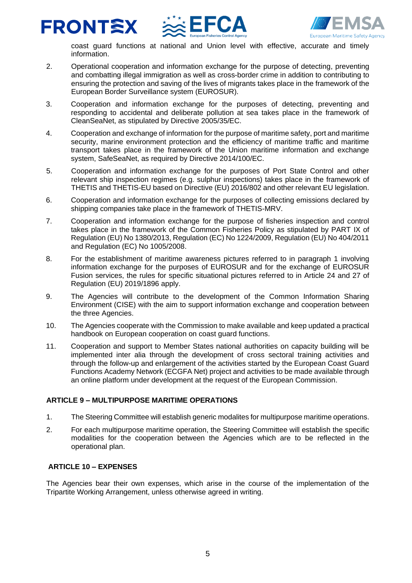





coast guard functions at national and Union level with effective, accurate and timely information.

- 2. Operational cooperation and information exchange for the purpose of detecting, preventing and combatting illegal immigration as well as cross-border crime in addition to contributing to ensuring the protection and saving of the lives of migrants takes place in the framework of the European Border Surveillance system (EUROSUR).
- 3. Cooperation and information exchange for the purposes of detecting, preventing and responding to accidental and deliberate pollution at sea takes place in the framework of CleanSeaNet, as stipulated by Directive 2005/35/EC.
- 4. Cooperation and exchange of information for the purpose of maritime safety, port and maritime security, marine environment protection and the efficiency of maritime traffic and maritime transport takes place in the framework of the Union maritime information and exchange system, SafeSeaNet, as required by Directive 2014/100/EC.
- 5. Cooperation and information exchange for the purposes of Port State Control and other relevant ship inspection regimes (e.g. sulphur inspections) takes place in the framework of THETIS and THETIS-EU based on Directive (EU) 2016/802 and other relevant EU legislation.
- 6. Cooperation and information exchange for the purposes of collecting emissions declared by shipping companies take place in the framework of THETIS-MRV.
- 7. Cooperation and information exchange for the purpose of fisheries inspection and control takes place in the framework of the Common Fisheries Policy as stipulated by PART IX of Regulation (EU) No 1380/2013, Regulation (EC) No 1224/2009, Regulation (EU) No 404/2011 and Regulation (EC) No 1005/2008.
- 8. For the establishment of maritime awareness pictures referred to in paragraph 1 involving information exchange for the purposes of EUROSUR and for the exchange of EUROSUR Fusion services, the rules for specific situational pictures referred to in Article 24 and 27 of Regulation (EU) 2019/1896 apply.
- 9. The Agencies will contribute to the development of the Common Information Sharing Environment (CISE) with the aim to support information exchange and cooperation between the three Agencies.
- 10. The Agencies cooperate with the Commission to make available and keep updated a practical handbook on European cooperation on coast guard functions.
- 11. Cooperation and support to Member States national authorities on capacity building will be implemented inter alia through the development of cross sectoral training activities and through the follow-up and enlargement of the activities started by the European Coast Guard Functions Academy Network (ECGFA Net) project and activities to be made available through an online platform under development at the request of the European Commission.

## **ARTICLE 9 – MULTIPURPOSE MARITIME OPERATIONS**

- 1. The Steering Committee will establish generic modalites for multipurpose maritime operations.
- 2. For each multipurpose maritime operation, the Steering Committee will establish the specific modalities for the cooperation between the Agencies which are to be reflected in the operational plan.

## **ARTICLE 10 – EXPENSES**

The Agencies bear their own expenses, which arise in the course of the implementation of the Tripartite Working Arrangement, unless otherwise agreed in writing.